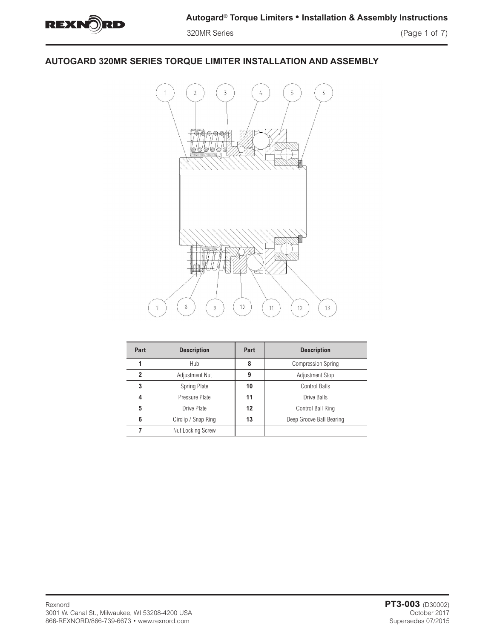

 320MR Series (Page 1 of 7) Installation and Assembly Instructions D30002

# **AUTOGARD 320MR SERIES TORQUE LIMITER INSTALLATION AND ASSEMBLY**



| Part | <b>Description</b>  | Part              | <b>Description</b>        |  |
|------|---------------------|-------------------|---------------------------|--|
|      | Hub                 | 8                 | <b>Compression Spring</b> |  |
| 2    | Adjustment Nut      | 9                 | <b>Adjustment Stop</b>    |  |
| 3    | Spring Plate        | 10                | Control Balls             |  |
| 4    | Pressure Plate      | 11                | Drive Balls               |  |
| 5    | Drive Plate         | $12 \overline{ }$ | Control Ball Ring         |  |
| 6    | Circlip / Snap Ring | 13                | Deep Groove Ball Bearing  |  |
|      | Nut Locking Screw   |                   |                           |  |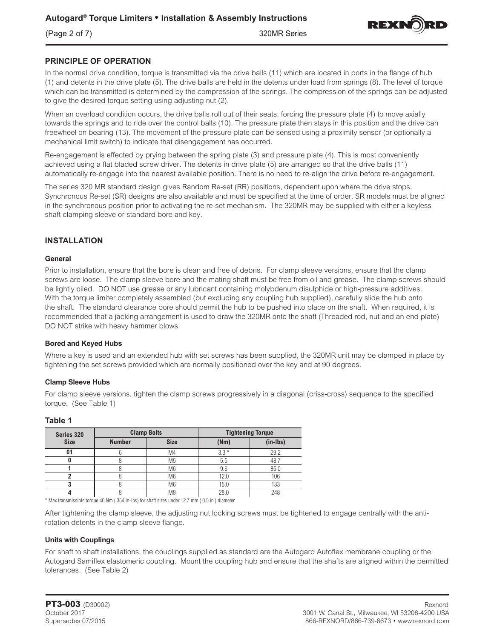

# **PRINCIPLE OF OPERATION**

In the normal drive condition, torque is transmitted via the drive balls (11) which are located in ports in the flange of hub (1) and detents in the drive plate (5). The drive balls are held in the detents under load from springs (8). The level of torque which can be transmitted is determined by the compression of the springs. The compression of the springs can be adjusted to give the desired torque setting using adjusting nut (2).

When an overload condition occurs, the drive balls roll out of their seats, forcing the pressure plate (4) to move axially towards the springs and to ride over the control balls (10). The pressure plate then stays in this position and the drive can freewheel on bearing (13). The movement of the pressure plate can be sensed using a proximity sensor (or optionally a mechanical limit switch) to indicate that disengagement has occurred.

Re-engagement is effected by prying between the spring plate (3) and pressure plate (4). This is most conveniently achieved using a flat bladed screw driver. The detents in drive plate (5) are arranged so that the drive balls (11) automatically re-engage into the nearest available position. There is no need to re-align the drive before re-engagement.

The series 320 MR standard design gives Random Re-set (RR) positions, dependent upon where the drive stops. Synchronous Re-set (SR) designs are also available and must be specified at the time of order. SR models must be aligned in the synchronous position prior to activating the re-set mechanism. The 320MR may be supplied with either a keyless shaft clamping sleeve or standard bore and key.

# **INSTALLATION**

#### **General**

Prior to installation, ensure that the bore is clean and free of debris. For clamp sleeve versions, ensure that the clamp screws are loose. The clamp sleeve bore and the mating shaft must be free from oil and grease. The clamp screws should be lightly oiled. DO NOT use grease or any lubricant containing molybdenum disulphide or high-pressure additives. With the torque limiter completely assembled (but excluding any coupling hub supplied), carefully slide the hub onto the shaft. The standard clearance bore should permit the hub to be pushed into place on the shaft. When required, it is recommended that a jacking arrangement is used to draw the 320MR onto the shaft (Threaded rod, nut and an end plate) DO NOT strike with heavy hammer blows.

## **Bored and Keyed Hubs**

Where a key is used and an extended hub with set screws has been supplied, the 320MR unit may be clamped in place by tightening the set screws provided which are normally positioned over the key and at 90 degrees.

## **Clamp Sleeve Hubs**

For clamp sleeve versions, tighten the clamp screws progressively in a diagonal (criss-cross) sequence to the specified torque. (See Table 1)

## **Table 1**

| Series 320  |               | <b>Clamp Bolts</b> | <b>Tightening Torque</b> |            |  |
|-------------|---------------|--------------------|--------------------------|------------|--|
| <b>Size</b> | <b>Number</b> | <b>Size</b>        | (Nm)                     | $(in-lbs)$ |  |
| 01          |               | M4                 | $3.3*$                   | 29.2       |  |
|             |               | M <sub>5</sub>     | 5.5                      | 48.7       |  |
|             |               | M <sub>6</sub>     | 9.6                      | 85.0       |  |
|             |               | M <sub>6</sub>     | 12.0                     | 106        |  |
|             |               | M <sub>6</sub>     | 15.0                     | 133        |  |
|             |               | M <sub>8</sub>     | 28.0                     | 248        |  |

\* Max transmissible torque 40 Nm ( 354 in-lbs) for shaft sizes under 12.7 mm ( 0.5 in ) diameter

After tightening the clamp sleeve, the adjusting nut locking screws must be tightened to engage centrally with the antirotation detents in the clamp sleeve flange.

#### **Units with Couplings**

For shaft to shaft installations, the couplings supplied as standard are the Autogard Autoflex membrane coupling or the Autogard Samiflex elastomeric coupling. Mount the coupling hub and ensure that the shafts are aligned within the permitted tolerances. (See Table 2)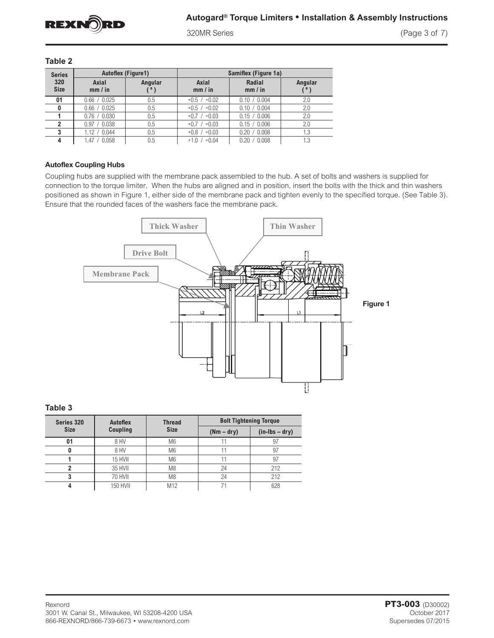

320MR Series (Page 3 of 7)

| <b>Series</b>      | <b>Autoflex (Figure1)</b> |                         | Samiflex (Figure 1a) |                   |         |  |  |  |
|--------------------|---------------------------|-------------------------|----------------------|-------------------|---------|--|--|--|
| 320<br><b>Size</b> | Axial<br>mm / in          | Angular<br>$\mathbf{o}$ | Axial<br>mm / in     | Radial<br>mm / in | Angular |  |  |  |
| 01                 | 0.66 / 0.025              | 0.5                     | $+0.5 / +0.02$       | 0.10 / 0.004      | 2.0     |  |  |  |
| 0                  | 0.66 / 0.025              | 0.5                     | $+0.5 / +0.02$       | 0.10 / 0.004      | 2.0     |  |  |  |
|                    | 0.76 / 0.030              | 0.5                     | $+0.03$<br>$+0.7/$   | 0.15 / 0.006      | 2.0     |  |  |  |
| 2                  | 0.97 / 0.038              | 0.5                     | $+0.03$<br>$+0.7/$   | 0.15 / 0.006      | 2.0     |  |  |  |
| 3                  | 1.12 / 0.044              | 0.5                     | $+0.8$ / $+0.03$     | 0.20 / 0.008      | 1.3     |  |  |  |
|                    | 1.47 / 0.058              | 0.5                     | $+0.04$<br>$+1.0/$   | 0.20 / 0.008      | 1.3     |  |  |  |

#### **Table 2**

#### **Autoflex Coupling Hubs** Coupling hubs are supplied with the membrane pack assembled to the hub. A set of bolts and

Autonex Coupling Hubs<br>Coupling hubs are supplied with the membrane pack assembled to the hub. A set of bolts and washers is supplied for Coupling nubs are supplied with the membrane pack assembled to the nub. A set of boits and washers is supplied for<br>connection to the torque limiter. When the hubs are aligned and in position, insert the bolts with the thic positioned as shown in Figure 1, either side of the membrane pack and tighten evenly to the specified torque. (See Table 3). Ensure that the rounded faces of the washers face the membrane pack. the rounded faces of the washers face the membrane pack.



## **Table 3**

| Series 320  | <b>Autoflex</b> | <b>Thread</b>   | <b>Bolt Tightening Torque</b> |                |  |
|-------------|-----------------|-----------------|-------------------------------|----------------|--|
| <b>Size</b> | Coupling        | <b>Size</b>     | $(Nm - dry)$                  | $(in-lbs-dry)$ |  |
| 01          | 8 HV            | M <sub>6</sub>  | 11                            | 97             |  |
|             | 8 HV            | M <sub>6</sub>  | 11                            | 97             |  |
|             | 15 HVII         | M <sub>6</sub>  | 11                            | 97             |  |
|             | 35 HVII         | M8              | 24                            | 212            |  |
|             | 70 HVII         | M <sub>8</sub>  | 24                            | 212            |  |
|             | <b>150 HVII</b> | M <sub>12</sub> | 71                            | 628            |  |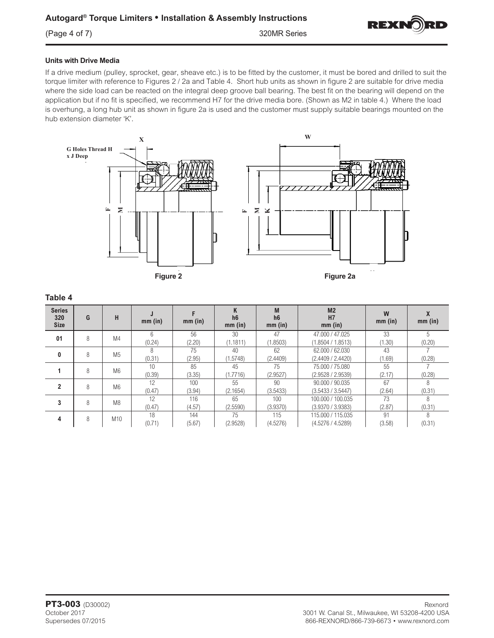

## **Units with Drive Media**

If a drive medium (pulley, sprocket, gear, sheave etc.) is to be fitted by the customer, it must be bored and drilled to suit the torque limiter with reference to Figures 2 / 2a and Table 4. Short hub units as shown in figure 2 are suitable for drive media where the side load can be reacted on the integral deep groove ball bearing. The best fit on the bearing will depend on the application but if no fit is specified, we recommend H7 for the drive media bore. (Shown as M2 in table 4.) Where the load is overhung, a long hub unit as shown in figure 2a is used and the customer must supply suitable bearings mounted on the hub extension diameter 'K'.



| <b>Series</b><br>320<br><b>Size</b> | G                                     | н              | mm (in)         | mm (in) | K<br>h <sub>6</sub><br>$mm$ (in) | M<br>h <sub>6</sub><br>mm (in) | M <sub>2</sub><br>H7<br>$mm$ (in) | W<br>mm (in)      | $mm$ (in) |
|-------------------------------------|---------------------------------------|----------------|-----------------|---------|----------------------------------|--------------------------------|-----------------------------------|-------------------|-----------|
| 01                                  | 8                                     | M4             | ჩ               | 56      | 30                               | 47                             | 47.000 / 47.025                   | 33                | 5         |
|                                     |                                       |                | (0.24)          | (2.20)  | (1.1811)                         | (1.8503)                       | (1.8504 / 1.8513)                 | (1.30)            | (0.20)    |
| 0                                   | 8                                     | M <sub>5</sub> | 8               | 75      | 40                               | 62                             | 62,000 / 62,030                   | 43                |           |
|                                     |                                       |                | (0.31)          | (2.95)  | (1.5748)                         | (2.4409)                       | (2.4409 / 2.4420)                 | (1.69)            | (0.28)    |
|                                     | M <sub>6</sub><br>8                   |                | 10 <sup>1</sup> | 85      | 45                               | 75                             | 75,000 / 75,080                   | 55                |           |
|                                     |                                       |                | (0.39)          | (3.35)  | (1.7716)                         | (2.9527)                       | (2.9528 / 2.9539)                 | (2.17)            | (0.28)    |
|                                     | $\overline{2}$<br>M <sub>6</sub><br>8 |                | 12              | 100     | 55                               | 90                             | 90,000 / 90,035                   | 67                | 8         |
|                                     |                                       |                |                 | (0.47)  | (3.94)                           | (2.1654)                       | (3.5433)                          | (3.5433 / 3.5447) | (2.64)    |
|                                     | 3<br>8                                | M <sub>8</sub> | 12              | 116     | 65                               | 100                            | 100.000 / 100.035                 | 73                | 8         |
|                                     |                                       |                | (0.47)          | (4.57)  | (2.5590)                         | (3.9370)                       | (3.9370 / 3.9383)                 | (2.87)            | (0.31)    |
|                                     | 8<br>4                                | M10            | 18              | 144     | 75                               | 115                            | 115,000 / 115,035                 | 91                | 8         |
|                                     |                                       |                | (0.71)          | (5.67)  | (2.9528)                         | (4.5276)                       | (4.5276 / 4.5289)                 | (3.58)            | (0.31)    |

# **Table 4**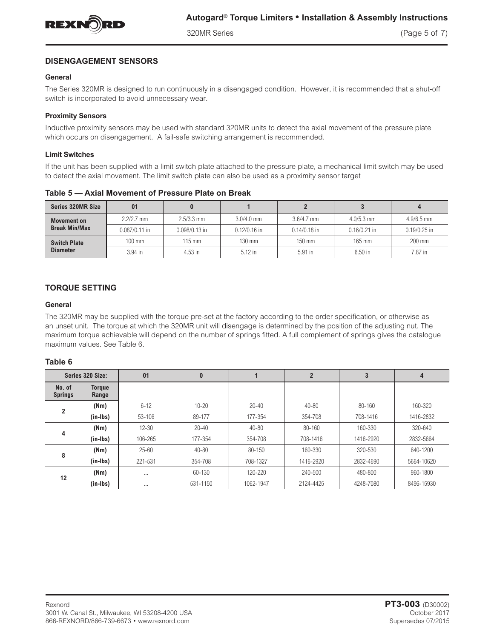

320MR Series (Page 5 of 7)

# **DISENGAGEMENT SENSORS**

## **General**

The Series 320MR is designed to run continuously in a disengaged condition. However, it is recommended that a shut-off switch is incorporated to avoid unnecessary wear.

#### **Proximity Sensors**

Inductive proximity sensors may be used with standard 320MR units to detect the axial movement of the pressure plate which occurs on disengagement. A fail-safe switching arrangement is recommended.

#### **Limit Switches**

If the unit has been supplied with a limit switch plate attached to the pressure plate, a mechanical limit switch may be used to detect the axial movement. The limit switch plate can also be used as a proximity sensor target

| Series 320MR Size                      | 01               |                  |                  |                  |                  |                  |
|----------------------------------------|------------------|------------------|------------------|------------------|------------------|------------------|
| <b>Movement on</b>                     | $2.2/2.7$ mm     | $2.5/3.3$ mm     | $3.0/4.0$ mm     | $3.6/4.7$ mm     | $4.0/5.3$ mm     | $4.9/6.5$ mm     |
| <b>Break Min/Max</b>                   | $0.087/0.11$ in  | $0.098/0.13$ in  | $0.12/0.16$ in   | $0.14/0.18$ in   | $0.16/0.21$ in   | $0.19/0.25$ in   |
| <b>Switch Plate</b><br><b>Diameter</b> | $100 \text{ mm}$ | $115 \text{ mm}$ | $130 \text{ mm}$ | $150 \text{ mm}$ | $165 \text{ mm}$ | $200 \text{ mm}$ |
|                                        | 3.94 in          | 4.53 in          | $5.12$ in        | 5.91 in          | $6.50$ in        | 7.87 in          |

**Table 5 — Axial Movement of Pressure Plate on Break**

# **TORQUE SETTING**

#### **General**

The 320MR may be supplied with the torque pre-set at the factory according to the order specification, or otherwise as an unset unit. The torque at which the 320MR unit will disengage is determined by the position of the adjusting nut. The maximum torque achievable will depend on the number of springs fitted. A full complement of springs gives the catalogue maximum values. See Table 6.

## **Table 6**

|                          | Series 320 Size:       | 01        | $\bf{0}$  |           | $\overline{2}$ | 3         | $\overline{\mathbf{4}}$ |
|--------------------------|------------------------|-----------|-----------|-----------|----------------|-----------|-------------------------|
| No. of<br><b>Springs</b> | <b>Torque</b><br>Range |           |           |           |                |           |                         |
| 2                        | (Nm)                   | $6 - 12$  | $10 - 20$ | $20 - 40$ | $40 - 80$      | 80-160    | 160-320                 |
|                          | (in-Ibs)               | 53-106    | 89-177    | 177-354   | 354-708        | 708-1416  | 1416-2832               |
|                          | (Nm)                   | $12 - 30$ | $20 - 40$ | $40 - 80$ | 80-160         | 160-330   | 320-640                 |
| 4                        | (in-Ibs)               | 106-265   | 177-354   | 354-708   | 708-1416       | 1416-2920 | 2832-5664               |
| 8                        | (Nm)                   | $25 - 60$ | $40 - 80$ | 80-150    | 160-330        | 320-530   | 640-1200                |
|                          | (in-Ibs)               | 221-531   | 354-708   | 708-1327  | 1416-2920      | 2832-4690 | 5664-10620              |
| 12                       | (Nm)                   | $\cdots$  | 60-130    | 120-220   | 240-500        | 480-800   | 960-1800                |
|                          | (in-Ibs)               | $\cdots$  | 531-1150  | 1062-1947 | 2124-4425      | 4248-7080 | 8496-15930              |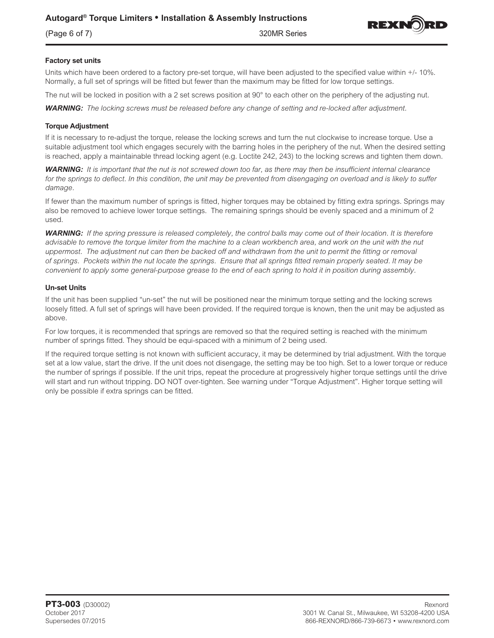(Page 6 of 7) 320MR Series



## **Factory set units**

Units which have been ordered to a factory pre-set torque, will have been adjusted to the specified value within +/- 10%. Normally, a full set of springs will be fitted but fewer than the maximum may be fitted for low torque settings.

The nut will be locked in position with a 2 set screws position at 90° to each other on the periphery of the adjusting nut.

*WARNING: The locking screws must be released before any change of setting and re-locked after adjustment.*

#### **Torque Adjustment**

If it is necessary to re-adjust the torque, release the locking screws and turn the nut clockwise to increase torque. Use a suitable adjustment tool which engages securely with the barring holes in the periphery of the nut. When the desired setting is reached, apply a maintainable thread locking agent (e.g. Loctite 242, 243) to the locking screws and tighten them down.

*WARNING: It is important that the nut is not screwed down too far, as there may then be insufficient internal clearance for the springs to deflect. In this condition, the unit may be prevented from disengaging on overload and is likely to suffer damage.*

If fewer than the maximum number of springs is fitted, higher torques may be obtained by fitting extra springs. Springs may also be removed to achieve lower torque settings. The remaining springs should be evenly spaced and a minimum of 2 used.

*WARNING: If the spring pressure is released completely, the control balls may come out of their location. It is therefore advisable to remove the torque limiter from the machine to a clean workbench area, and work on the unit with the nut uppermost. The adjustment nut can then be backed off and withdrawn from the unit to permit the fitting or removal of springs. Pockets within the nut locate the springs. Ensure that all springs fitted remain properly seated. It may be convenient to apply some general-purpose grease to the end of each spring to hold it in position during assembly.*

#### **Un-set Units**

If the unit has been supplied "un-set" the nut will be positioned near the minimum torque setting and the locking screws loosely fitted. A full set of springs will have been provided. If the required torque is known, then the unit may be adjusted as above.

For low torques, it is recommended that springs are removed so that the required setting is reached with the minimum number of springs fitted. They should be equi-spaced with a minimum of 2 being used.

If the required torque setting is not known with sufficient accuracy, it may be determined by trial adjustment. With the torque set at a low value, start the drive. If the unit does not disengage, the setting may be too high. Set to a lower torque or reduce the number of springs if possible. If the unit trips, repeat the procedure at progressively higher torque settings until the drive will start and run without tripping. DO NOT over-tighten. See warning under "Torque Adjustment". Higher torque setting will only be possible if extra springs can be fitted.